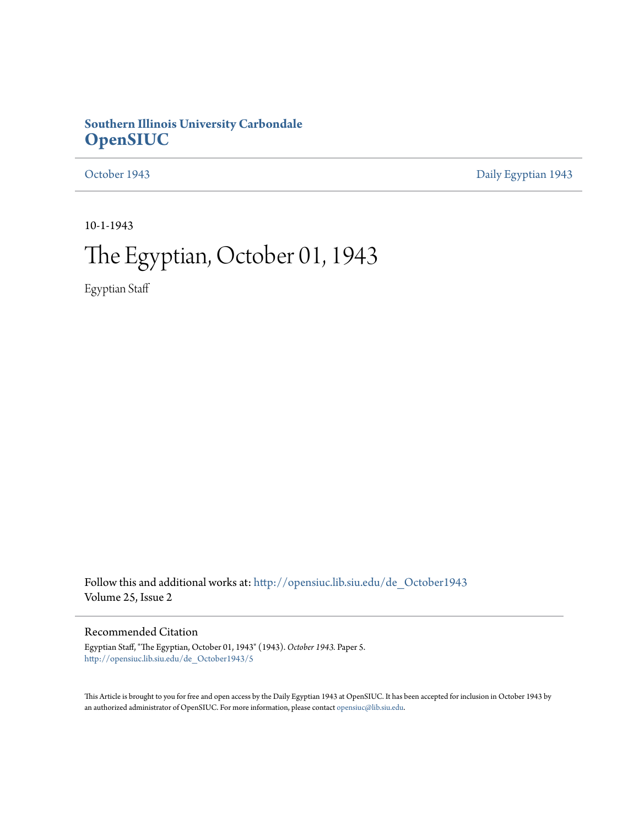# **Southern Illinois University Carbondale [OpenSIUC](http://opensiuc.lib.siu.edu?utm_source=opensiuc.lib.siu.edu%2Fde_October1943%2F5&utm_medium=PDF&utm_campaign=PDFCoverPages)**

[October 1943](http://opensiuc.lib.siu.edu/de_October1943?utm_source=opensiuc.lib.siu.edu%2Fde_October1943%2F5&utm_medium=PDF&utm_campaign=PDFCoverPages) [Daily Egyptian 1943](http://opensiuc.lib.siu.edu/de_1943?utm_source=opensiuc.lib.siu.edu%2Fde_October1943%2F5&utm_medium=PDF&utm_campaign=PDFCoverPages)

10-1-1943

# The Egyptian, October 01, 1943

Egyptian Staff

Follow this and additional works at: [http://opensiuc.lib.siu.edu/de\\_October1943](http://opensiuc.lib.siu.edu/de_October1943?utm_source=opensiuc.lib.siu.edu%2Fde_October1943%2F5&utm_medium=PDF&utm_campaign=PDFCoverPages) Volume 25, Issue 2

### Recommended Citation

Egyptian Staff, "The Egyptian, October 01, 1943" (1943). *October 1943.* Paper 5. [http://opensiuc.lib.siu.edu/de\\_October1943/5](http://opensiuc.lib.siu.edu/de_October1943/5?utm_source=opensiuc.lib.siu.edu%2Fde_October1943%2F5&utm_medium=PDF&utm_campaign=PDFCoverPages)

This Article is brought to you for free and open access by the Daily Egyptian 1943 at OpenSIUC. It has been accepted for inclusion in October 1943 by an authorized administrator of OpenSIUC. For more information, please contact [opensiuc@lib.siu.edu.](mailto:opensiuc@lib.siu.edu)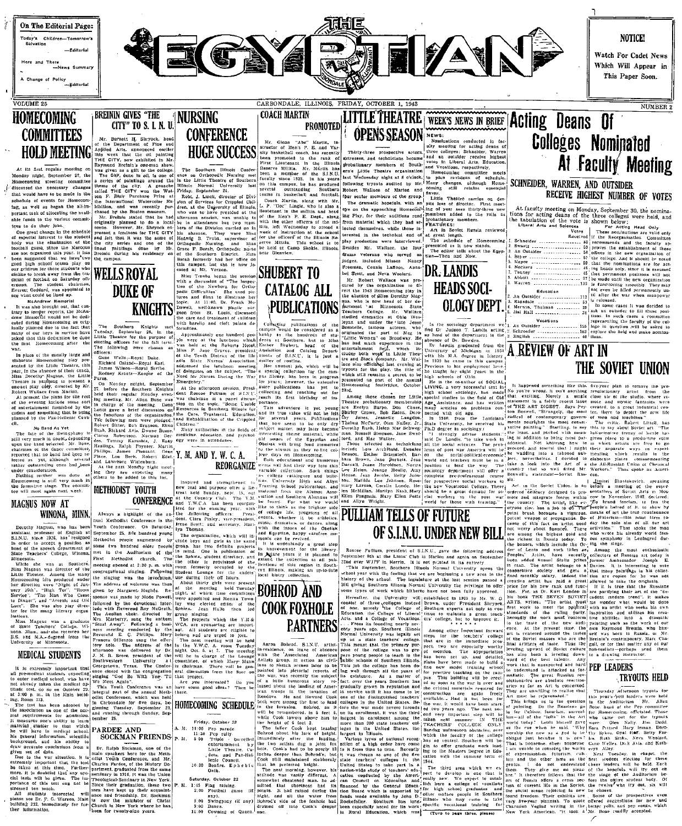

airear then the motival and the motival of the state in the floor of the state of the floor of the floor of the state of the state of the state in the big of the state in the state in the state in the state in the state in

As the distance of the United Partner, the distance of the distance of the distance of the distance of the state of the Club Case of the Section of the Section of the Section of the Section of the Section of the Section o

The solution is used to the set of the set of the set of the set of the set of the set of the set of the set of the set of the set of the set of the set of the set of the set of the set of the set of the set of the set of

inches deepe

while Cook towers<br>the height of 6 fee<br>The taller Cook<br>Bohrod about his

that he preferred helpht.<br>The next morning, howe<br>attitude was vastly differ-

Saturday, October 23 summerical and the control of 25 Page Traing, and the different control of 2:00 Pootbell game (if poots 3 it had ratios 2:00 Pootbell game (if poots 3 it had ratios 3) and the 3:00 Dance of the contro

He Cook towers above han to longest in encollentar, it was the chiral of  $\tilde{G}$  for the latter Cook in the case of the case of the case of the case of the case of the case of the case of the case of the case of the case In means the basebook of the first detection of the partial of the state of the system of the state of the state of the state of the state of the state of the state of the state of the state of the state of the state of t

Fillnois who may come to take

octal scene rejoicing in new be chosen of the prospective<br>if reedom. Their exhibits are . Some of the prospective<br>intervent plannish. To quote offsred surgestions for ne<br>nito Vegind writing in the better yells, and pep so

TRYOUTS HELD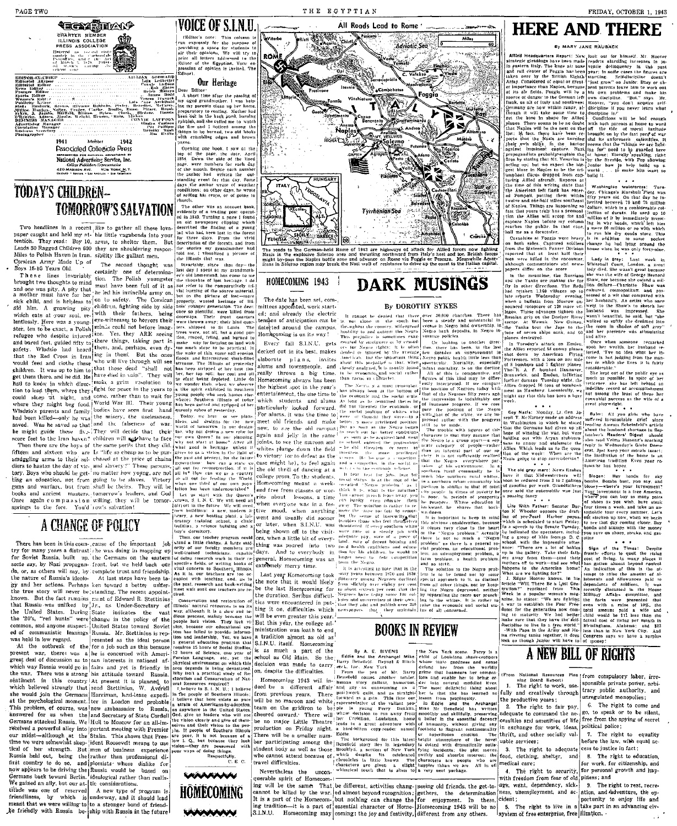**≒œ¥∰∏∠∆≯** 

**Pusocialed Colleniale Press** 

National Advertising Service, Inc.

College Papel and College International College Papel College Papel College Papel At the College Papel College Papel College Papel College Papel College Papel College Papel College Papel College Papel College Papel College

Two headlines in a recent like to gather all these lova-

Leads 50 Ragged Children 600 they are shouldering respon-

Miles to Polish Haven in Iran, sibility like gallant men.

**TOMORROW'S SALVATION** 

**TODAY'S CHILDREN--**

CHARTER MEMBER<br>ILLINOIS COLLEGE<br>PRESS ASSOCIATION

# THE EGYPTIAN

**Di** 

### VOICE OF SINIL or's note:<br>pressly for<br>חוף a space<br>li opinions: for students<br>We will try are their opinions. We will try to<br>print all letters addressed to the<br>Editor of the Egyptian. Your ex-<br>pression of opinion is invited. The<br>Editor!

### Our Heritage

Dear Editor<br>A short time after the<br>my aged grandmother. my aged grandmother. I was help and property of the law of the best property of the best property of the law best best property of the best product the property of the best product probabile, and she called me to wate rpuoman, anno sue carrea me to watch<br>the "fire run" I Dotteed surone the gs to be hurned, two old th crombling edges

sayes.<br>- Openice ane book it was at the pening one nook, t xaw of the page, the identity of the page, the identity of the nonth. Begive each manufactured and the month. Begive each manufactured the caution radium of the diffusion of the diffusion of the diffusio event<br>author

enner market.<br>en ofhar den ronattions: ou other tays, are seven<br>of selling his crops, or of going it naren.<br>- The other was an acc

The other was a account book-<br>evidently of a trading post operation of a trading post periodic of a trading space is contained to the second of the contact of the contact of the contact of the contact of the contact of th paper caught and held my *n*t- ble little vagationds into your<br>tention. They read: Boy 10, arms, to shelter them. But

Miles to Polish Haven in trans. sightly the galacear engines one is reason than the section and Apple 1. The section is the interest of the section of the section in the section of the section of the section of the sectio

saved. Was he saved so that and the falseness of war. Wanta detectas for the method is saved to the might guide these five-[They will decide that their last way not design a new rote to the last the might guide these five be might guide these anxies and the galacter will applied to face  $\frac{1000}{1000}$  and start at iones are the base of the same periss that they did, what rood is betting on the start of the same periss in the same periss i Let us as seen matricourisment.<br>
. crown, S. I. N. U. We will need at<br>
. crown, S. I. N. U. We will need

Once again compassion willing, they will be tomor-

For some stars and out up. the Germian of the desire of the stars in the stars of stars, by Pazi propagan- front, but we held back out pletter a heat of writing tooks of the southern swill say, by Pazi propagan- front. bu the true story will never be standing. The recent appointcommunistic leanings Russia. Mr. Stettinius is rep

was held in low regard. For a job such as the ideal person<br>At the outbreak of the for a job such as this because<br>present war, there was a he is concerned with Amerigreat deal of discussion as to ean interests in national afwhich way Russia would go in fails and yet is friendly in which way Russia would go in fails and yet is friendly in the war. There was a strong his attitude toward Russia.<br>seniment to this country lAt present it is planned sentiment in this country | At present it is planned to burst less<br>neutron of National Control and Control and Control and Control and Control and Control and Control and Street<br>senting, W. A verific present is the contro at the psychological moment, (et in Lousson and processes This problem, of course, was Inswered for as when the land Secretary of State Cordell Germans attacked Russia, We Hull to Moscow for an all-imreceived a powerful alley into portant meeting with Premier our midst-although at the Stalin. This shows that Prestime we were somewhat skep-lident Roosevelt means to use tical of her strength. But men of business experience<br>Russia held out, being the rather than professional di-First country to do so. and pomisis-whose dislike for now appears to be driving the Russia would be based on Germans back toward Berlin. [dealogical rather than realis-We gained an ally, but our at- tic considerations. titude was one of reserved

A new type of program is friendliness, by which is underway, and it should lead meant that we were will no to to a stronger hond of friend he friendly with Russia be-ship with Russia in the future

From the control and the duration. Serbus difficult-<br>
Name the control and restoration of the duration. Serbus difficult-<br>
Name In the fact remains ment of Edward R. Stetlrinis conservation and restoration of the duration tion and leadarship general education program Foreign Language, etc., yet the physical environment on which this area depends is being devastated.<br>Away isn't a practical is being devastated.<br>Why isn't a practical study of Ristoration and Conservation of Nat

> I, give us leaders who wm<br>vision clearly and give of the<br>res and their vision to the p If people of Southern Illinois  $\overline{a}$  $\begin{vmatrix} 1 & 10 & 11 & 11 \\ 1 & 10 & 11 & 10 \\ 10 & 1 & 1 & 10 \\ 1 & 1 & 1 & 11 \\ 1 & 1 & 1 & 11 \\ 1 & 1 & 1 & 11 \\ 1 & 1 & 1 & 11 \\ 1 & 1 & 1 & 11 \\ 1 & 1 & 1 & 11 \\ 1 & 1 & 1 & 11 \\ 1 & 1 & 1 & 11 \\ 1 & 1 & 1 & 11 \\ 1 & 1 & 1 & 11 \\ 1 & 1 & 1 & 11 \\ 1 & 1 & 1 & 11 \\ 1 & 1 & 1 & 11 \\$ are it is not because of not because of a are possessed with





#### HOMECOMING 1943

The date has been set, com-<br>mittees appointed, work start-

entertainment, the one time to which students and alums As long<br>markinghally looked forward flid nu particularly looked forward. For alums, it was the time to meet old friends and make new, to see the old caninus: again and jelly in the same  $\frac{1}{n}$ <br>joints, to see the maroon and  $\frac{1}{n}$ whites plunge down the field to victory, (or to defeat as the to victory (or to deteat as the visings)<br>case might be), to feel again and a the old thrill of dancing at a web is the college prom. To the students, it tears college prom. To the students, it tears Homecoming meant a week-speaker<br>end free from classes or wor- think to  $\frac{1}{\pi}$  ries about lessons, a time  $\frac{1}{\pi}$ <br>and when everyone was in a fest away

a tradition almost as old as **That** S.I.N.U. itself. Homecoming

querable spirit of Homecom-

From extreme appointed, vorix start.<br>
The distribution of the start of the start of the start of the start of the start of the start of the start of the start of the start of the start of the start of the start of the sta All of this is comparative, and<br>figures of this is comparative, and<br>figures of this kind may be differently<br>the nosition of Negroes fifty years ago<br>that of the Negroes fifty years ago

All Roads Lead to Rome

**Adriatic Sec** 

Allied

**DARK MUSINGS** 

-<br>| Nevillege<br>| privillege

Once again computation with the same of the interest one is a sense that the same of the same springs to the fore. You'd low's salution!<br>
Figure in the fatter We will used 'when a very be enough the same of the three same

East year Homecoming took  $\frac{1}{2}$  are avoiding to more that in the product of the note that it would likely  $\frac{1}{2}$  from a shown in 550 and 1830 [lim is to be found at the note that it would likely  $\frac{1}{2}$  from subs

### **BOOKS IN REVIEW**

SLINU. Itself. Homeomorning and the European Content of the Sew York scene. Perry is a senior in a part of the Equip and the Arena of Hitch of Louisian state-content of decision was made to carry harry Berleid. Reynal & H For an experimental on the gradient of the values of the values of the productive participation of the state of the values of the case of the case of the case of the case of the case of the case of the case of the case of

streament of the same. That be different, activities chang-seeing old friends, the get-to-laye, want, dependency, sick. S. The right to rest, recre-<br>cannot be killed by the war. [ed almost beyond recognition; gethers, the

## **HERE AND THERE**

#### By MARY JANE PAURANK

**Allied Headouarters Report:** New look out for himself Mr. look out for himself. Mr. Hoover<br>repdris alarming increases in yu<br>ventie delinquency in the past<br>year: in-some-cases-the-figures are egie gleanings have been mad<br>stern tialy. The auge air box of Foggia has been British Eight a derman fen<br>ind soutbwest<br>iain range, al-

 $\begin{array}{ll} &\text{vacuum}, & \text{Self-discrphere and}\\ &\text{Figure 5,000} & \text{Gauge model} \\ \text{2.918} & \text{Frow} & \text{on} & \text{Gauge model} \\ \text{3.919} & \text{Frow} & \text{on} & \text{non} \\ \text{3.911} & \text{forrons} & \text{leave film to work out} \\ \text{1.93} & \text{oron} & \text{inocylinder} & \text{1.911} \\ \text{1.93} & \text{oron} & \text{1.921} \\ \text{1.93} & \text{1.931} & \text{1.93$ iscipune is?"<br>"Conditions" will be had enous! r Allied) Conditions will be bad enought of the control of the control of the control interval of the control interval of the control interval interval interval interval in the beam re- interval in the state of when the be

g that Mt. Vesuvius is by the firestide, with Pop showing is the second of the second of the second of the second of the second of the second of the second of the second of the second of the second of the second of the se

- Lady in Grey: Last week<br>المطمئنات Court Loudon, a p

eunes<br>Etiele

Washington watercress: Tues-<br>
day, Chicago's Marsball Field was<br>
flity years old. On that day he in-<br>
lectrical between 70 and 76 million<br>
flow the considerable col-F. American considerate in the solution of the second of the second of the second of the second of the second line in the second line of the second in the second in the second in the second in the second in the second in

oth sides. Captured soldiers channel that is the Sixteenth Panzer Division house<br>were Killed in the encounter. Law were Killed in the encounter.

Then over allied in the recentions of the second state with the results of the second in the measure of the second in the measure of the second in the measure of the second in the measure of the second in the measure of t

ess. u we comme<br>of the Near

wherenup were a<br>everywhere part<br>gwironment. In a<br>community he is<br>tern rural whites

ious c<mark>onsideration, b</mark><br>s very close to the<br>"Negro problem." A

Coy Nazis: Monday, Lt. Cen. Jo-Balm: All you girl iday, Lt. Gen. Johnson, and you under an address suffered inconsolate which he stated produce the state of the stated in the stated in the stated product the human set of the stated product the human set of the stated prod sepit T. McNarney<br>in Washington in

that the Germany the war, but were jeasters with both the control of the state of the last of the state of the state of the state of the state of the state of the state of the state of the state of the state. Within the s sionan: Buy have it that Midwesterners will Slog<br>soon be reduced from 3 to 2 gallons bombs<br>of gasoline per week. Grandfathers bloory os: bomas dust, you<br>ey—where's your lave<br>rinvestment ls a free<br>re you can buy as ana<br>hoes as you wish, bu

### nce said the automobile<br>passing fancy

(11) properties to present the property of Basing range<br>the transfer of the property. Where education is<br> $\begin{bmatrix} 16 & 0.007 \\ 0.000 & 0.000 \\ 0.0000 & 0.0000 \\ 0.00000 & 0.0000 \\ 0.00000 & 0.00000 \\ 0.00000 & 0.00000 \\ 0.00000 & 0.000$ While the spenter of the Senate Tuesday. In<br>parts and sometimes, senates and gas after and determinisms in<br>the spectra of the improvement of the spectrum of the spectrum<br>of the improvements at the spectrum of the spectra In a speech to the Senate Tuesday<br>he indicated the spectators, includ

s ave.<br>
other aff to work.<br>
suppose for the American Boson,<br>
a phone is due American Boson,<br>
1. Migar Hoover Rabys, in his language and ablevanting<br>  $\alpha$ . Henry Horne Rabys, the Minds can deleve a collection<br>
or the manne a Download State Theory Corresponding to the generation in the peak of the generation in the generation in the generation in the peak of the peak of the set of the set of the set of the set of the set of the set of the se

# A NEW BILL OF RIGHTS

From National Resources Plan from compulsory labor, irre-<br>ulag Board Report)<br>1. The right to work, use sponsible private power, arbitration fully and creatively through<br>the productive years:

with freedom from fear of old piness; and<br>age, want, dependency, sick-<br>9. The right to rest, recre-

trary public authority, and unregulated monopolies:

6. The right to come and

 $\overline{m}$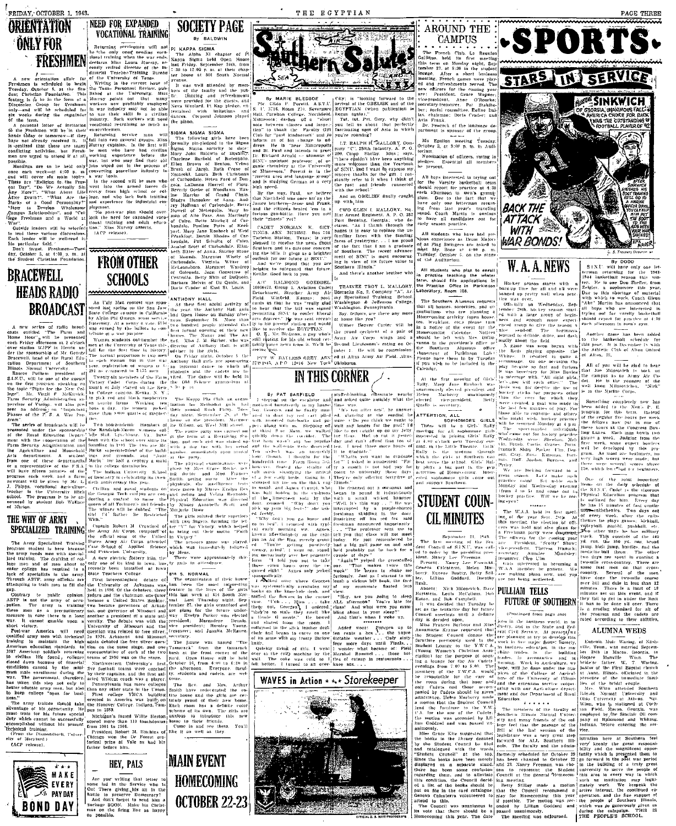# **ORIENTATION ÖNLY FOR**

FRESHMEN

ientation affair for<br>scheduled to begin<br>ober 5, at the Stu-<br>in Foundation. This<br>he in the form of a

will be well-read i

ser 5, at 4:00 p. m., a<br>nt Christian Foundation

## **BRACEWELL HEADS RADIO BROADCAST**

series of radio broad ed "The Parm and<br>", will be presented<br>", will be presented in Herrin un

#### THE WHY OF ARMY SPECIALIZED TRAINING

new electric Motter First intercolleciate

Maryland.)

CACP release).



INEED FOR EXPANDED **SOCIETY PAGE** VOCATIONAL TRAINING By BALDWIN

By ...<br>
PI KAPPA SIGMA<br>
The Almba XI chapter of  $\hat{P}^1$ <br>
Sanpa Sigma kida Open Honse<br>
Bat Friday, September 24th, from<br>
17.50 to 12.00 p.m. at their chap<br>
17.50 to 12.00 p.m. at their chap<br>
17.50 to 12.00 p.m. at their c Returning servicemen will not<br>exite only one reading voca-<br>tending when the war ends,<br>cetares Miss Laura Murray, re-<br>endy retited director of the in-

xas Personuel Rev<br>
ut the University<br>
points out the<br>
s now profitably<br>
industry may not<br>
their skill in a Dancing and ene ene pas<br>Fefreshment cuests, and va Woolard, Pt Kap pledge

Murray asserts

**FROM OTHER** le, Virginia<br>oro, Marga<br>ada, Joan<br>- Belty Shin **SCHOOLS** Melvin of Du

ANTHONY HALL

An Ugly Man contest was spo

has ty guls

of its kind in

HEY, PALS

.<br>debate of The organization<br>as been the m<br>sature in the live of Arkunsas was

dous to introduce the to their friends.<br>ome in and see them.<br>: it us well as they.

**MAIN EVENT** 

**HOMECOMING** 

from 1901 to 1905.<br>
President Robert M. Bitchins of The<br>
Chicago won the De Forest ore<br>
torical prize at Yale as had his<br>
father before him.



THE EGYPTIAN

-vous r. rupen<br>3716. Room - 210 BGYPTIAN (when **LT RALPH H 31** 

rieton Station. Texas: is ver. safeenard that

Reithe, Good luck to you.<br>A/C - RALMOND - GOEDDEL

Group 1. Aviation Cadet<br>nt. Strother Army Air Barracks No. 2. Company Specialized Train

eeing ∖rou.<br>⊐evr—w **BAYLESS GREY, ASN ed at 2**<br>CPO 12010 New York Oklaho ad at Alive Army Air Field, Allt

# IN THIS CORNER

was.<br>Clon after

to pound it industriously<br>a small, witked hammer<br>a small, witked hammer<br>apted by a purple-shirter skiddlng in the door

The coke was cold so I the of catsup in reataurabetter. I turned to an over- knee sox....



arrival of the OBELISK and

from last year's travel from last year's travel and Charch Martin is any ......<br>vetta

AROUND THE

CAMPUS

Auditorium.

teaching the winter<br>file applications in<br>Office in Parkinson

Southern Alumnus

 $rac{1}{2}$ 

At the first Marberry

**TTENTION ALL** 

SOPHOMORE GIRLS  $\overline{3}$ Ciri-

## STUDENT COUN-**CIL MINUTES**

ere nor being neglected.

h.<br>bsent: Nick Milosevich, Dav.<br>And Milosevich, Dav. PULLIAM TELLS and Bob Campbell rass decided that<br>Whe tentative di

rega**rdi:** 

vens. The date

otion was sec-the p<br>Goddard and which

copie of South has a sensor and the sense of the campaign. The was adjourned. THE PEOPLE'S SCHOOL.

 $WTH$ WAR BONDS. **W.A.A.NEWS** By DOUGLE SINCE Will have or<br>SINCE will have or<br>Comparation in the season r<br>the  $1943$ region<br>1944 one Don Sheffer

**-SPORTS.** 

STARS IN SERVICE

**SINKWICH** 

PAGE THREE

will be glad to Milosovieh 19 is a substitute that the campus as an Army Air et. He is the sensor

Semathing countered

The W.A.A. held its first meet.<br>ar, of the year Sept. 28th: At his meeting the election (of offices was held and also glaus for shman party fivers for the coming yes

**FUTURE OF SOUTHERN** 

in the instanse world in

the<br>buil

coope